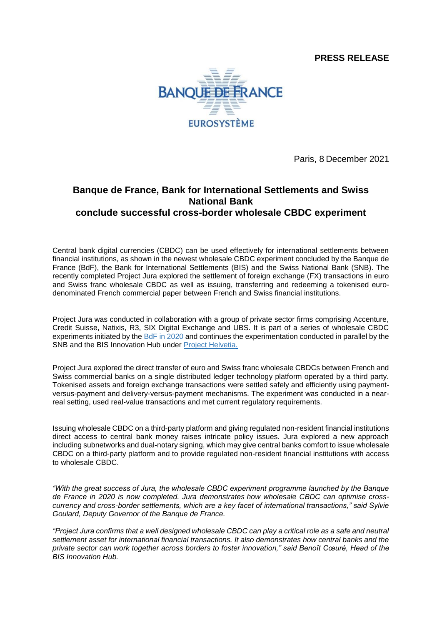**PRESS RELEASE**



Paris, 8 December 2021

## **Banque de France, Bank for International Settlements and Swiss National Bank conclude successful cross-border wholesale CBDC experiment**

Central bank digital currencies (CBDC) can be used effectively for international settlements between financial institutions, as shown in the newest wholesale CBDC experiment concluded by the Banque de France (BdF), the Bank for International Settlements (BIS) and the Swiss National Bank (SNB). The recently completed Project Jura explored the settlement of foreign exchange (FX) transactions in euro and Swiss franc wholesale CBDC as well as issuing, transferring and redeeming a tokenised eurodenominated French commercial paper between French and Swiss financial institutions.

Project Jura was conducted in collaboration with a group of private sector firms comprising Accenture, Credit Suisse, Natixis, R3, SIX Digital Exchange and UBS. It is part of a series of wholesale CBDC experiments initiated by the [BdF in 2020](https://www.banque-france.fr/sites/default/files/media/2021/11/09/rapport_mnbc_0.pdf) and continues the experimentation conducted in parallel by the SNB and the BIS Innovation Hub under [Project Helvetia.](https://www.bis.org/publ/othp35.htm)

Project Jura explored the direct transfer of euro and Swiss franc wholesale CBDCs between French and Swiss commercial banks on a single distributed ledger technology platform operated by a third party. Tokenised assets and foreign exchange transactions were settled safely and efficiently using paymentversus-payment and delivery-versus-payment mechanisms. The experiment was conducted in a nearreal setting, used real-value transactions and met current regulatory requirements.

Issuing wholesale CBDC on a third-party platform and giving regulated non-resident financial institutions direct access to central bank money raises intricate policy issues. Jura explored a new approach including subnetworks and dual-notary signing, which may give central banks comfort to issue wholesale CBDC on a third-party platform and to provide regulated non-resident financial institutions with access to wholesale CBDC.

*"With the great success of Jura, the wholesale CBDC experiment programme launched by the Banque de France in 2020 is now completed. Jura demonstrates how wholesale CBDC can optimise crosscurrency and cross-border settlements, which are a key facet of international transactions," said Sylvie Goulard, Deputy Governor of the Banque de France.*

*"Project Jura confirms that a well designed wholesale CBDC can play a critical role as a safe and neutral settlement asset for international financial transactions. It also demonstrates how central banks and the private sector can work together across borders to foster innovation," said Benoît Cœuré, Head of the BIS Innovation Hub.*